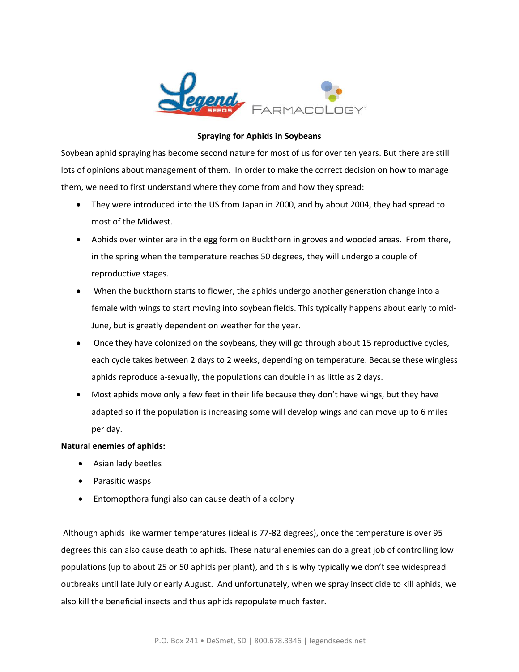

## **Spraying for Aphids in Soybeans**

Soybean aphid spraying has become second nature for most of us for over ten years. But there are still lots of opinions about management of them. In order to make the correct decision on how to manage them, we need to first understand where they come from and how they spread:

- They were introduced into the US from Japan in 2000, and by about 2004, they had spread to most of the Midwest.
- Aphids over winter are in the egg form on Buckthorn in groves and wooded areas. From there, in the spring when the temperature reaches 50 degrees, they will undergo a couple of reproductive stages.
- When the buckthorn starts to flower, the aphids undergo another generation change into a female with wings to start moving into soybean fields. This typically happens about early to mid-June, but is greatly dependent on weather for the year.
- Once they have colonized on the soybeans, they will go through about 15 reproductive cycles, each cycle takes between 2 days to 2 weeks, depending on temperature. Because these wingless aphids reproduce a-sexually, the populations can double in as little as 2 days.
- Most aphids move only a few feet in their life because they don't have wings, but they have adapted so if the population is increasing some will develop wings and can move up to 6 miles per day.

## **Natural enemies of aphids:**

- Asian lady beetles
- Parasitic wasps
- Entomopthora fungi also can cause death of a colony

Although aphids like warmer temperatures (ideal is 77-82 degrees), once the temperature is over 95 degrees this can also cause death to aphids. These natural enemies can do a great job of controlling low populations (up to about 25 or 50 aphids per plant), and this is why typically we don't see widespread outbreaks until late July or early August. And unfortunately, when we spray insecticide to kill aphids, we also kill the beneficial insects and thus aphids repopulate much faster.